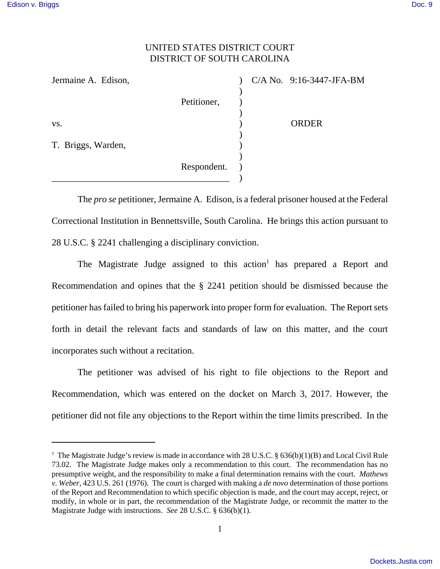## UNITED STATES DISTRICT COURT DISTRICT OF SOUTH CAROLINA

| Jermaine A. Edison, |             |  | $C/A$ No. 9:16-3447-JFA-BM |
|---------------------|-------------|--|----------------------------|
|                     |             |  |                            |
|                     | Petitioner, |  |                            |
|                     |             |  |                            |
| VS.                 |             |  | <b>ORDER</b>               |
|                     |             |  |                            |
| T. Briggs, Warden,  |             |  |                            |
|                     |             |  |                            |
|                     | Respondent. |  |                            |
|                     |             |  |                            |

The *pro se* petitioner, Jermaine A. Edison, is a federal prisoner housed at the Federal Correctional Institution in Bennettsville, South Carolina. He brings this action pursuant to 28 U.S.C. § 2241 challenging a disciplinary conviction.

The Magistrate Judge assigned to this action<sup>1</sup> has prepared a Report and Recommendation and opines that the § 2241 petition should be dismissed because the petitioner has failed to bring his paperwork into proper form for evaluation. The Report sets forth in detail the relevant facts and standards of law on this matter, and the court incorporates such without a recitation.

The petitioner was advised of his right to file objections to the Report and Recommendation, which was entered on the docket on March 3, 2017. However, the petitioner did not file any objections to the Report within the time limits prescribed. In the

<sup>&</sup>lt;sup>1</sup> The Magistrate Judge's review is made in accordance with 28 U.S.C. § 636(b)(1)(B) and Local Civil Rule 73.02. The Magistrate Judge makes only a recommendation to this court. The recommendation has no presumptive weight, and the responsibility to make a final determination remains with the court. *Mathews v. Weber*, 423 U.S. 261 (1976). The court is charged with making a *de novo* determination of those portions of the Report and Recommendation to which specific objection is made, and the court may accept, reject, or modify, in whole or in part, the recommendation of the Magistrate Judge, or recommit the matter to the Magistrate Judge with instructions. *See* 28 U.S.C. § 636(b)(1).